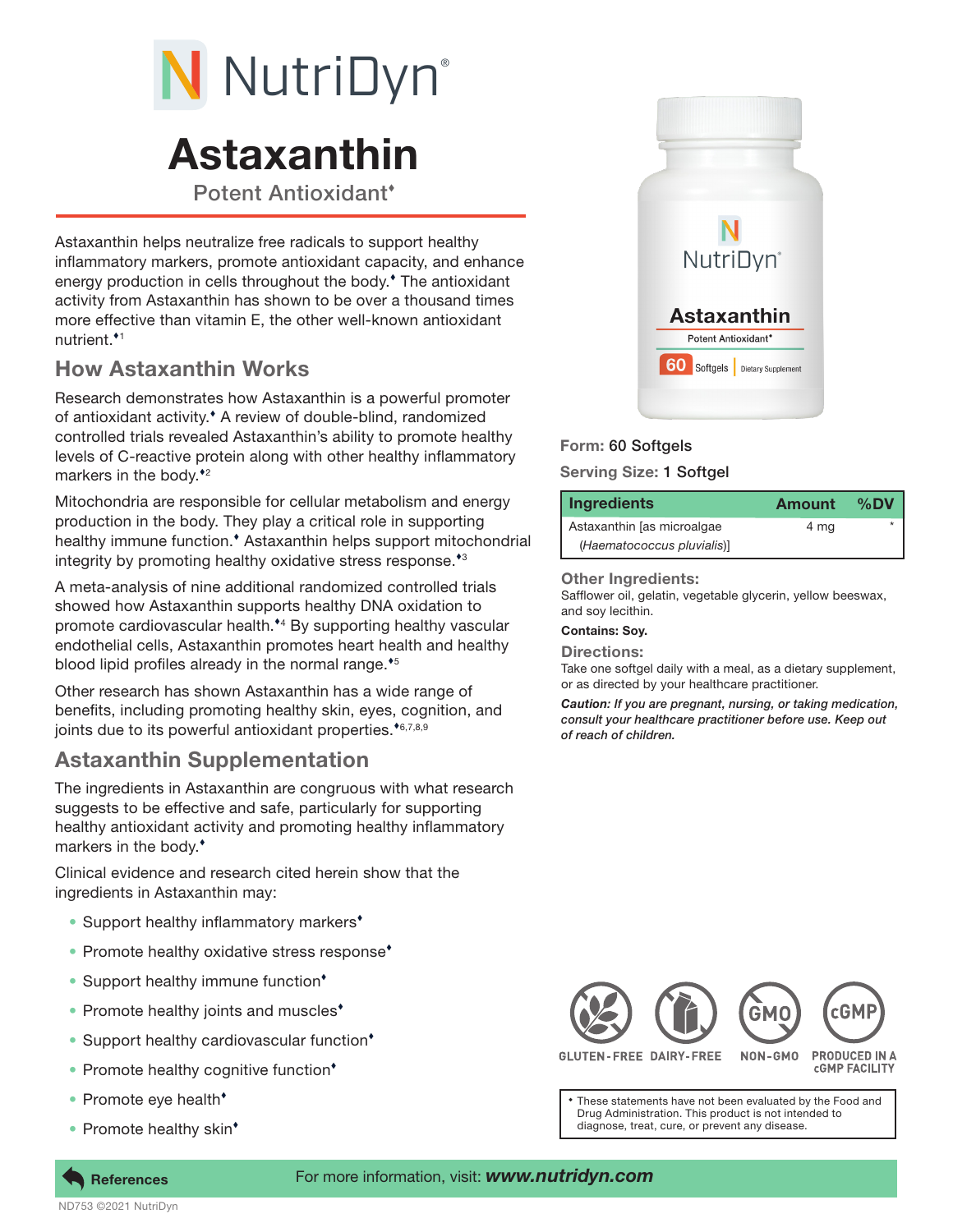# N NutriDyn®

# Astaxanthin

Potent Antioxidant

Astaxanthin helps neutralize free radicals to support healthy inflammatory markers, promote antioxidant capacity, and enhance energy production in cells throughout the body. The antioxidant activity from Astaxanthin has shown to be over a thousand times more effective than vitamin E, the other well-known antioxidant nutrient.<sup>\*1</sup>

# How Astaxanthin Works

Research demonstrates how Astaxanthin is a powerful promoter of antioxidant activity. A review of double-blind, randomized controlled trials revealed Astaxanthin's ability to promote healthy levels of C-reactive protein along with other healthy inflammatory markers in the body. $*$ <sup>2</sup>

Mitochondria are responsible for cellular metabolism and energy production in the body. They play a critical role in supporting healthy immune function.<sup>•</sup> Astaxanthin helps support mitochondrial integrity by promoting healthy oxidative stress response.<sup>43</sup>

A meta-analysis of nine additional randomized controlled trials showed how Astaxanthin supports healthy DNA oxidation to promote cardiovascular health.<sup>\*4</sup> By supporting healthy vascular endothelial cells, Astaxanthin promotes heart health and healthy blood lipid profiles already in the normal range. $*$ <sup>5</sup>

Other research has shown Astaxanthin has a wide range of benefits, including promoting healthy skin, eyes, cognition, and joints due to its powerful antioxidant properties. $*6,7,8,9$ 

# Astaxanthin Supplementation

The ingredients in Astaxanthin are congruous with what research suggests to be effective and safe, particularly for supporting healthy antioxidant activity and promoting healthy inflammatory markers in the body.

Clinical evidence and research cited herein show that the ingredients in Astaxanthin may:

- Support healthy inflammatory markers<sup>\*</sup>
- Promote healthy oxidative stress response<sup>\*</sup>
- Support healthy immune function<sup>\*</sup>
- Promote healthy joints and muscles<sup>\*</sup>
- Support healthy cardiovascular function<sup>\*</sup>
- Promote healthy cognitive function<sup>\*</sup>
- Promote eye health<sup>\*</sup>
- Promote healthy skin<sup>\*</sup>



## Form: 60 Softgels

### Serving Size: 1 Softgel

| Ingredients                | Amount | %DV |
|----------------------------|--------|-----|
| Astaxanthin [as microalgae | 4 mg   |     |
| (Haematococcus pluvialis)] |        |     |

#### Other Ingredients:

Safflower oil, gelatin, vegetable glycerin, yellow beeswax, and soy lecithin.

#### Contains: Soy.

Directions:

Take one softgel daily with a meal, as a dietary supplement, or as directed by your healthcare practitioner.

*Caution: If you are pregnant, nursing, or taking medication, consult your healthcare practitioner before use. Keep out of reach of children.*



**GLUTEN-FREE DAIRY-FREE** 

**PRODUCED IN A CGMP FACILITY** 

These statements have not been evaluated by the Food and Drug Administration. This product is not intended to diagnose, treat, cure, or prevent any disease.